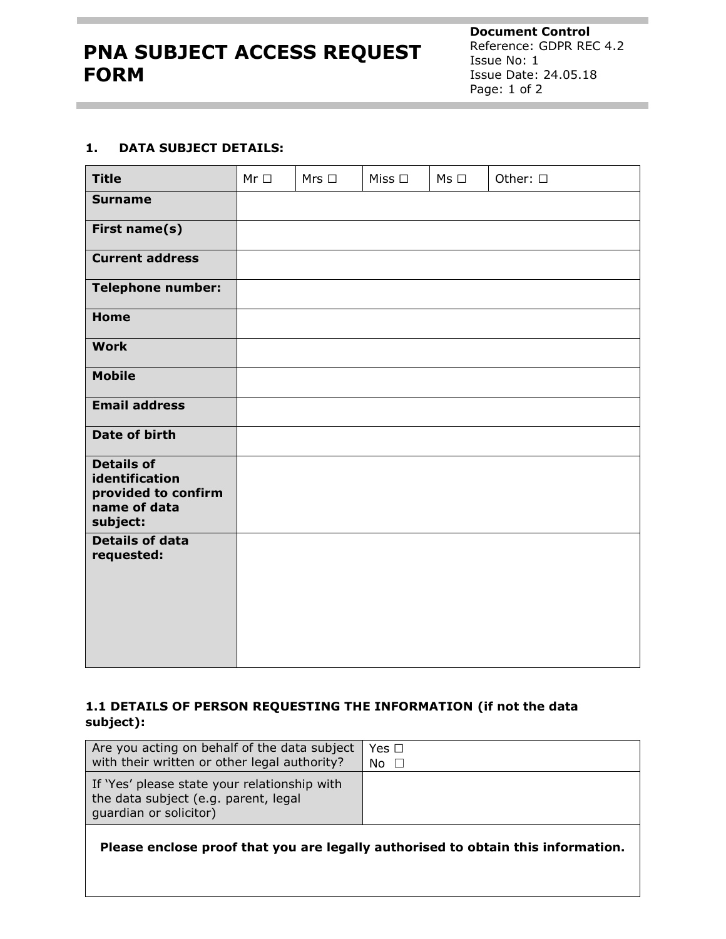**Document Control** Reference: GDPR REC 4.2 Issue No: 1 Issue Date: 24.05.18 Page: 1 of 2

## **1. DATA SUBJECT DETAILS:**

| <b>Title</b>                                                                           | $Mr \Box$ | Mrs $\Box$ | Miss $\square$ | $Ms \Box$ | Other: $\square$ |
|----------------------------------------------------------------------------------------|-----------|------------|----------------|-----------|------------------|
| <b>Surname</b>                                                                         |           |            |                |           |                  |
| First name(s)                                                                          |           |            |                |           |                  |
| <b>Current address</b>                                                                 |           |            |                |           |                  |
| <b>Telephone number:</b>                                                               |           |            |                |           |                  |
| <b>Home</b>                                                                            |           |            |                |           |                  |
| <b>Work</b>                                                                            |           |            |                |           |                  |
| <b>Mobile</b>                                                                          |           |            |                |           |                  |
| <b>Email address</b>                                                                   |           |            |                |           |                  |
| Date of birth                                                                          |           |            |                |           |                  |
| <b>Details of</b><br>identification<br>provided to confirm<br>name of data<br>subject: |           |            |                |           |                  |
| <b>Details of data</b><br>requested:                                                   |           |            |                |           |                  |

## **1.1 DETAILS OF PERSON REQUESTING THE INFORMATION (if not the data subject):**

| Are you acting on behalf of the data subject                                                                   | Yes □       |
|----------------------------------------------------------------------------------------------------------------|-------------|
| with their written or other legal authority?                                                                   | $No$ $\Box$ |
| If 'Yes' please state your relationship with<br>the data subject (e.g. parent, legal<br>quardian or solicitor) |             |

**Please enclose proof that you are legally authorised to obtain this information.**